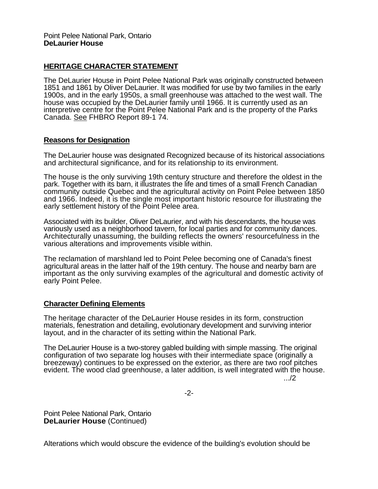## **HERITAGE CHARACTER STATEMENT**

The DeLaurier House in Point Pelee National Park was originally constructed between 1851 and 1861 by Oliver DeLaurier. It was modified for use by two families in the early 1900s, and in the early 1950s, a small greenhouse was attached to the west wall. The house was occupied by the DeLaurier family until 1966. It is currently used as an interpretive centre for the Point Pelee National Park and is the property of the Parks Canada. See FHBRO Report 89-1 74.

## **Reasons for Designation**

The DeLaurier house was designated Recognized because of its historical associations and architectural significance, and for its relationship to its environment.

The house is the only surviving 19th century structure and therefore the oldest in the park. Together with its barn, it illustrates the life and times of a small French Canadian community outside Quebec and the agricultural activity on Point Pelee between 1850 and 1966. Indeed, it is the single most important historic resource for illustrating the early settlement history of the Point Pelee area.

Associated with its builder, Oliver DeLaurier, and with his descendants, the house was variously used as a neighborhood tavern, for local parties and for community dances. Architecturally unassuming, the building reflects the owners' resourcefulness in the various alterations and improvements visible within.

The reclamation of marshland led to Point Pelee becoming one of Canada's finest agricultural areas in the latter half of the 19th century. The house and nearby barn are important as the only surviving examples of the agricultural and domestic activity of early Point Pelee.

## **Character Defining Elements**

The heritage character of the DeLaurier House resides in its form, construction materials, fenestration and detailing, evolutionary development and surviving interior layout, and in the character of its setting within the National Park.

The DeLaurier House is a two-storey gabled building with simple massing. The original configuration of two separate log houses with their intermediate space (originally a breezeway) continues to be expressed on the exterior, as there are two roof pitches evident. The wood clad greenhouse, a later addition, is well integrated with the house.

.../2

-2-

Point Pelee National Park, Ontario **DeLaurier House** (Continued)

Alterations which would obscure the evidence of the building's evolution should be